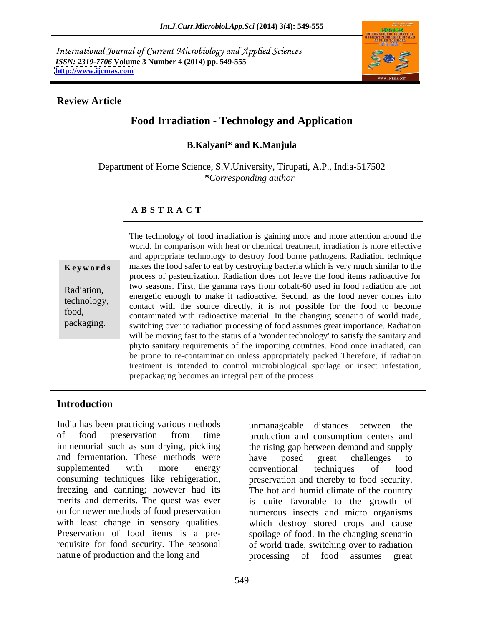International Journal of Current Microbiology and Applied Sciences *ISSN: 2319-7706* **Volume 3 Number 4 (2014) pp. 549-555 <http://www.ijcmas.com>**



#### **Review Article**

# **Food Irradiation - Technology and Application**

#### **B.Kalyani\* and K.Manjula**

Department of Home Science, S.V.University, Tirupati, A.P., India-517502 *\*Corresponding author* 

#### **A B S T R A C T**

**Keywords** makes the food safer to eat by destroying bacteria which is very much similar to the Radiation, two seasons. First, the gamma rays from cobalt-60 used in food radiation are not technology,<br>
contact with the source directly, it is not possible for the food to become food,<br>
contaminated with radioactive material. In the changing scenario of world trade, packaging.<br>
switching over to radiation processing of food assumes great importance. Radiation The technology of food irradiation is gaining more and more attention around the world. In comparison with heat or chemical treatment, irradiation is more effective and appropriate technology to destroy food borne pathogens. Radiation technique process of pasteurization. Radiation does not leave the food items radioactive for energetic enough to make it radioactive. Second, as the food never comes into will be moving fast to the status of a 'wonder technology' to satisfy the sanitary and phyto sanitary requirements of the importing countries. Food once irradiated, can be prone to re-contamination unless appropriately packed Therefore, if radiation treatment is intended to control microbiological spoilage or insect infestation, prepackaging becomes an integral part of the process.

# **Introduction**

India has been practicing various methods unmanageable distances between the of food preservation from time production and consumption centers and immemorial such as sun drying, pickling the rising gap between demand and supply and fermentation. These methods were have posed great challenges to supplemented with more energy conventional techniques of food consuming techniques like refrigeration, preservation and thereby to food security. freezing and canning; however had its The hot and humid climate of the country merits and demerits. The quest was ever is quite favorable to the growth of on for newer methods of food preservation numerous insects and micro organisms with least change in sensory qualities. which destroy stored crops and cause Preservation of food items is a pre-spoilage of food. In the changing scenario requisite for food security. The seasonal of world trade, switching over to radiation nature of production and the long and processing of food assumes great

unmanageable distances between the have posed great challenges to conventional techniques of food processing of food assumes great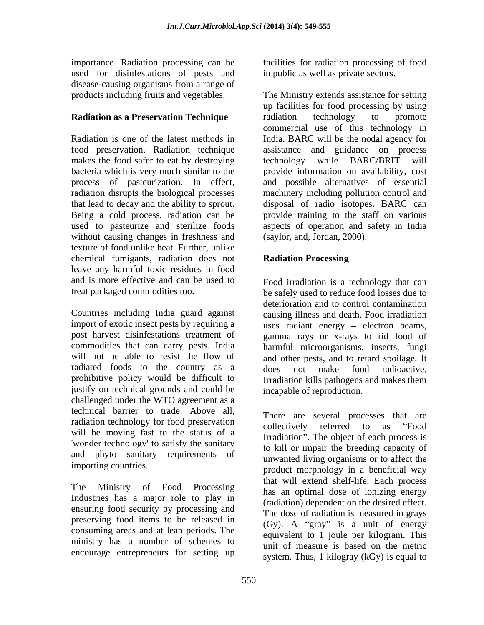importance. Radiation processing can be facilities for radiation processing of food used for disinfestations of pests and disease-causing organisms from a range of

food preservation. Radiation technique makes the food safer to eat by destroying technology while BARC/BRIT will radiation disrupts the biological processes Being a cold process, radiation can be without causing changes in freshness and texture of food unlike heat. Further, unlike chemical fumigants, radiation does not **Radiation Processing** leave any harmful toxic residues in food and is more effective and can be used to Food irradiation is a technology that can

Countries including India guard against causing illness and death. Food irradiation import of exotic insect pests by requiring a uses radiant energy – electron beams, post harvest disinfestations treatment of gamma rays or x-rays to rid food of commodities that can carry pests. India harmful microorganisms, insects, fungi will not be able to resist the flow of and other pests, and to retard spoilage. It radiated foods to the country as a cost of make food radioactive. prohibitive policy would be difficult to Irradiation kills pathogens and makes them justify on technical grounds and could be challenged under the WTO agreement as a technical barrier to trade. Above all, radiation technology for food preservation<br>collectively referred to as "Food will be moving fast to the status of a 'wonder technology' to satisfy the sanitary and phyto sanitary requirements of

Industries has a major role to play in ensuring food security by processing and preserving food items to be released in consuming areas and at lean periods. The ministry has a number of schemes to encourage entrepreneurs for setting up

in public as well as private sectors.

products including fruits and vegetables. The Ministry extends assistance for setting **Radiation as a Preservation Technique** radiation technology to promote Radiation is one of the latest methods in India. BARC will be the nodal agency for bacteria which is very much similar to the provide information on availability, cost process of pasteurization. In effect, and possible alternatives of essential that lead to decay and the ability to sprout. disposal of radio isotopes. BARC can used to pasteurize and sterilize foods aspects of operation and safety in India up facilities for food processing by using radiation technology to promote commercial use of this technology in assistance and guidance on process technology while BARC/BRIT will machinery including pollution control and provide training to the staff on various (saylor, and, Jordan, 2000).

# **Radiation Processing**

treat packaged commodities too. be safely used to reduce food losses due to deterioration and to control contamination does not make food radioactive. incapable of reproduction.

importing countries. product morphology in a beneficial way The Ministry of Food Processing has an optimal dose of ionizing energy There are several processes that are collectively referred to as "Food Irradiation". The object of each process is to kill or impair the breeding capacity of unwanted living organisms or to affect the that will extend shelf-life. Each process (radiation) dependent on the desired effect. The dose of radiation is measured in grays (Gy). A "gray" is a unit of energy equivalent to 1 joule per kilogram. This unit of measure is based on the metric system. Thus, 1 kilogray (kGy) is equal to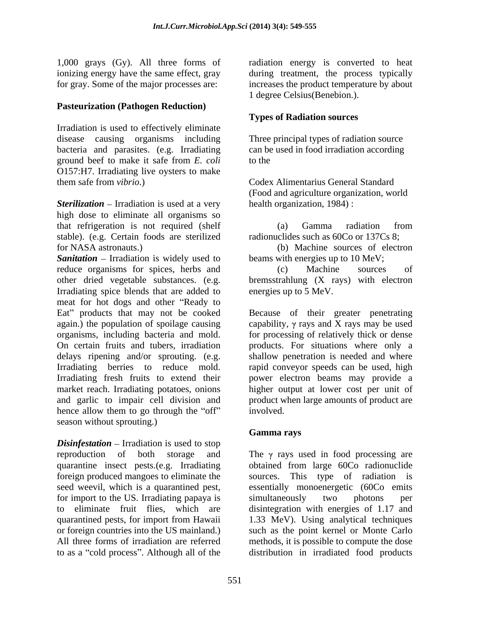## **Pasteurization (Pathogen Reduction)**

Irradiation is used to effectively eliminate disease causing organisms including bacteria and parasites. (e.g. Irradiating ground beef to make it safe from *E. coli* O157:H7. Irradiating live oysters to make them safe from *vibrio*.) Codex Alimentarius General Standard

**Sterilization** – Irradiation is used at a very high dose to eliminate all organisms so that refrigeration is not required (shelf stable). (e.g. Certain foods are sterilized

**Sanitation** – Irradiation is widely used to reduce organisms for spices, herbs and (c) Machine sources of other dried vegetable substances. (e.g. bremsstrahlung (X rays) with electron Irradiating spice blends that are added to meat for hot dogs and other "Ready to Eat" products that may not be cooked Because of their greater penetrating again.) the population of spoilage causing  $\qquad \qquad$  capability,  $\gamma$  rays and X rays may be used organisms, including bacteria and mold. for processing of relatively thick or dense On certain fruits and tubers, irradiation products. For situations where only a delays ripening and/or sprouting. (e.g. shallow penetration is needed and where Irradiating berries to reduce mold. rapid conveyor speeds can be used, high Irradiating fresh fruits to extend their power electron beams may provide a market reach. Irradiating potatoes, onions higher output at lower cost per unit of and garlic to impair cell division and product when large amounts of product are hence allow them to go through the "off" involved. season without sprouting.)

*Disinfestation* – Irradiation is used to stop for import to the US. Irradiating papaya is simultaneously two photons per to eliminate fruit flies, which are disintegration with energies of 1.17 and to as a "cold process". Although all of the distribution in irradiated food products

1,000 grays (Gy). All three forms of radiation energy is converted to heat ionizing energy have the same effect, gray during treatment, the process typically for gray. Some of the major processes are: increases the product temperature by about 1 degree Celsius(Benebion.).

## **Types of Radiation sources**

Three principal types of radiation source can be used in food irradiation according to the

(Food and agriculture organization, world health organization, 1984) :

(a) Gamma radiation from radionuclides such as 60Co or 137Cs 8;

for NASA astronauts.) (b) Machine sources of electron beams with energies up to 10 MeV;

> (c) Machine sources of energies up to 5 MeV.

involved.

## **Gamma rays**

reproduction of both storage and The  $\gamma$  rays used in food processing are quarantine insect pests.(e.g. Irradiating obtained from large 60Co radionuclide foreign produced mangoes to eliminate the sources. This type of radiation is seed weevil, which is a quarantined pest, essentially monoenergetic (60Co emits to eliminate fruit flies, which are disintegration with energies of 1.17 and quarantined pests, for import from Hawaii 1.33 MeV). Using analytical techniques or foreign countries into the US mainland.) such as the point kernel or Monte Carlo All three forms of irradiation are referred methods, it is possible to compute the dose simultaneously two photons per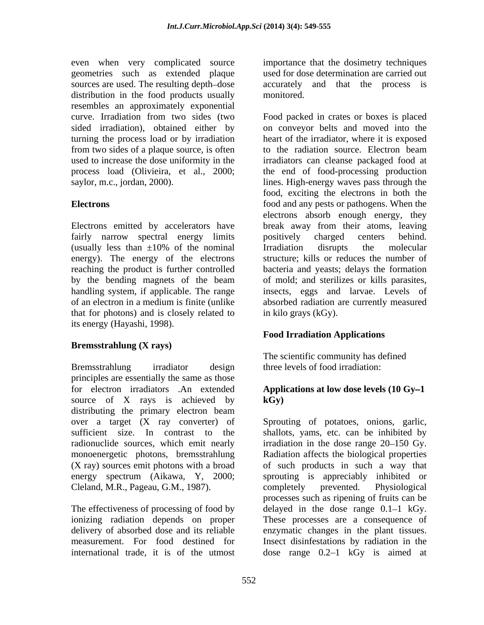even when very complicated source geometries such as extended plaque used for dose determination are carried out sources are used. The resulting depth-dose distribution in the food products usually monitored. resembles an approximately exponential turning the process load or by irradiation from two sides of a plaque source, is often to the radiation source. Electron beam

fairly narrow spectral energy limits positively charged centers behind. (usually less than  $\pm 10\%$  of the nominal Irradiation disrupts the molecular energy). The energy of the electrons that for photons) and is closely related to its energy (Hayashi, 1998).

### **Bremsstrahlung (X rays)**

Bremsstrahlung irradiator design three levels of food irradiation: principles are essentially the same as those for electron irradiators .An extended source of X rays is achieved by  $kGy$ distributing the primary electron beam over a target (X ray converter) of Sprouting of potatoes, onions, garlic, sufficient size. In contrast to the shallots, yams, etc. can be inhibited by radionuclide sources, which emit nearly irradiation in the dose range 20–150 Gy. monoenergetic photons, bremsstrahlung (X ray) sources emit photons with a broad of such products in such a way that energy spectrum (Aikawa, Y, 2000; sprouting is appreciably inhibited or

international trade, it is of the utmost dose range 0.2–1 kGy is aimed at

importance that the dosimetry techniques accurately and that the process is monitored.

curve. Irradiation from two sides (two Food packed in crates or boxes is placed sided irradiation), obtained either by on conveyor belts and moved into the used to increase the dose uniformity in the irradiators can cleanse packaged food at process load (Olivieira, et al., 2000; the end of food-processing production saylor, m.c., jordan, 2000). lines. High-energy waves pass through the **Electrons** food and any pests or pathogens. When the Electrons emitted by accelerators have break away from their atoms, leaving reaching the product is further controlled bacteria and yeasts; delays the formation by the bending magnets of the beam of mold; and sterilizes or kills parasites, handling system, if applicable. The range insects, eggs and larvae. Levels of of an electron in a medium is finite (unlike absorbed radiation are currently measured heart of the irradiator, where it is exposed to the radiation source. Electron beam food, exciting the electrons in both the electrons absorb enough energy, they positively charged centers behind. Irradiation disrupts the molecular structure; kills or reduces the number of in kilo grays (kGy).

# **Food Irradiation Applications**

The scientific community has defined three levels of food irradiation:

## Applications at low dose levels (10 Gy–1) **kGy)**

Cleland, M.R., Pageau, G.M., 1987). completely prevented. Physiological<br>processes such as ripening of fruits can be<br>The effectiveness of processing of food by delayed in the dose range 0.1–1 kGy. ionizing radiation depends on proper These processes are a consequence of delivery of absorbed dose and its reliable enzymatic changes in the plant tissues. measurement. For food destined for Insect disinfestations by radiation in the Radiation affects the biological properties completely prevented. Physiological processes such as ripening of fruits can be delayed in the dose range  $0.1-1$  kGy.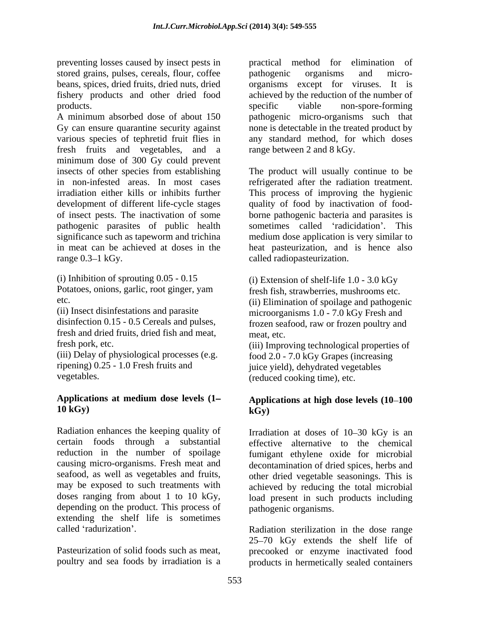preventing losses caused by insect pests in practical method for elimination of stored grains, pulses, cereals, flour, coffee pathogenic organisms and microbeans, spices, dried fruits, dried nuts, dried organisms except for viruses. It is fishery products and other dried food achieved by the reduction of the number of products.

A minimum absorbed dose of about 150 pathogenic micro-organisms such that Gy can ensure quarantine security against none is detectable in the treated product by various species of tephretid fruit flies in any standard method, for which doses fresh fruits and vegetables, and a minimum dose of 300 Gy could prevent insects of other species from establishing The product will usually continue to be in non-infested areas. In most cases refrigerated after the radiation treatment. irradiation either kills or inhibits further This process of improving the hygienic development of different life-cycle stages of insect pests. The inactivation of some borne pathogenic bacteria and parasites is pathogenic parasites of public health sometimes called 'radicidation'. This significance such as tapeworm and trichina medium dose application is very similar to in meat can be achieved at doses in the heat pasteurization, and is hence also

(i) Inhibition of sprouting  $0.05 - 0.15$  (i) Extension of shelf-life  $1.0 - 3.0$  kGy Potatoes, onions, garlic, root ginger, yam

fresh and dried fruits, dried fish and meat,

(iii) Delay of physiological processes (e.g.

### **Applications at medium dose levels (1 10 kGy)**

Radiation enhances the keeping quality of Irradiation at doses of 10–30 kGy is an certain foods through a substantial reduction in the number of spoilage fumigant ethylene oxide for microbial causing micro-organisms. Fresh meat and seafood, as well as vegetables and fruits, other dried vegetable seasonings. This is may be exposed to such treatments with achieved by reducing the total microbial doses ranging from about 1 to 10 kGy, load present in such products including depending on the product. This process of extending the shelf life is sometimes

pathogenic organisms and micro specific viable non-spore-forming range between 2 and 8 kGy.

range 0.3–1 kGy. ealled radiopasteurization. quality of food by inactivation of food-

etc. (ii) Elimination of spoilage and pathogenic (ii) Insect disinfestations and parasite microorganisms 1.0 - 7.0 kGy Fresh and disinfection 0.15 - 0.5 Cereals and pulses, frozen seafood, raw or frozen poultry and fresh fish, strawberries, mushrooms etc. meat, etc.

fresh pork, etc. (iii) Improving technological properties of ripening) 0.25 - 1.0 Fresh fruits and juice yield), dehydrated vegetables vegetables. (reduced cooking time), etc. food 2.0 - 7.0 kGy Grapes (increasing

## **Applications at high dose levels (10 100 kGy)**

effective alternative to the chemical decontamination of dried spices, herbs and pathogenic organisms.

called 'radurization'. The radiation sterilization in the dose range Pasteurization of solid foods such as meat, precooked or enzyme inactivated food poultry and sea foods by irradiation is a products in hermetically sealed containers25 70 kGy extends the shelf life of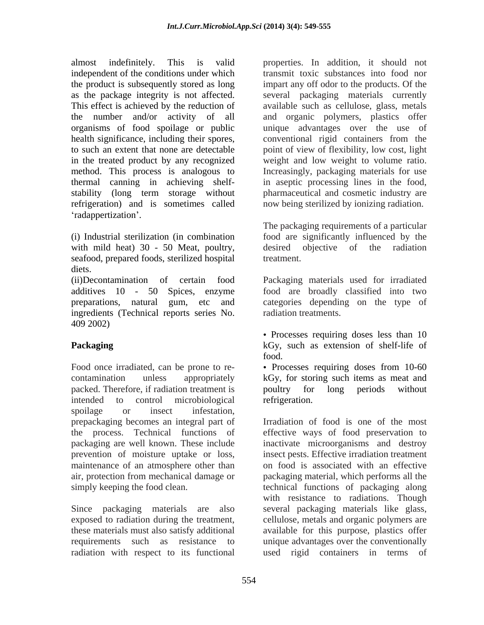almost indefinitely. This is valid properties. In addition, it should not independent of the conditions under which the product is subsequently stored as long impart any off odor to the products. Of the as the package integrity is not affected. several packaging materials currently This effect is achieved by the reduction of available such as cellulose, glass, metals the number and/or activity of all and organic polymers, plastics offer organisms of food spoilage or public unique advantages over the use of health significance, including their spores, conventional rigid containers from the to such an extent that none are detectable point of view of flexibility, low cost, light in the treated product by any recognized weight and low weight to volume ratio. method. This process is analogous to Increasingly, packaging materials for use thermal canning in achieving shelf- in aseptic processing lines in the food, stability (long term storage without pharmaceutical and cosmetic industry are refrigeration) and is sometimes called radappertization'.

(i) Industrial sterilization (in combination food are significantly influenced by the with mild heat) 30 - 50 Meat, poultry, desired objective of the radiation seafood, prepared foods, sterilized hospital diets.

(ii)Decontamination of certain food Packaging materials used for irradiated additives 10 - 50 Spices, enzyme food are broadly classified into two preparations, natural gum, etc and categories depending on the type of ingredients (Technical reports series No. andiation treatments.<br>409 2002)

Food once irradiated, can be prone to re-<br>• Processes requiring doses from 10-60 contamination unless appropriately kGy, for storing such items as meat and packed. Therefore, if radiation treatment is poultry for long periods without intended to control microbiological spoilage or insect infestation, prepackaging becomes an integral part of prevention of moisture uptake or loss, maintenance of an atmosphere other than

radiation with respect to its functional

transmit toxic substances into food nor now being sterilized by ionizing radiation.

The packaging requirements of a particular desired objective of the radiation treatment.

radiation treatments.

**Packaging** kGy, such as extension of shelf-life of • Processes requiring doses less than 10 food.

poultry for long periods without refrigeration.

the process. Technical functions of effective ways of food preservation to packaging are well known. These include inactivate microorganisms and destroy air, protection from mechanical damage or packaging material, which performs all the simply keeping the food clean. technical functions of packaging along Since packaging materials are also several packaging materials like glass, exposed to radiation during the treatment, cellulose, metals and organic polymers are these materials must also satisfy additional available for this purpose, plastics offer requirements such as resistance to unique advantages over the conventionally Irradiation of food is one of the most insect pests. Effective irradiation treatment on food is associated with an effective with resistance to radiations. Though used rigid containers in terms of